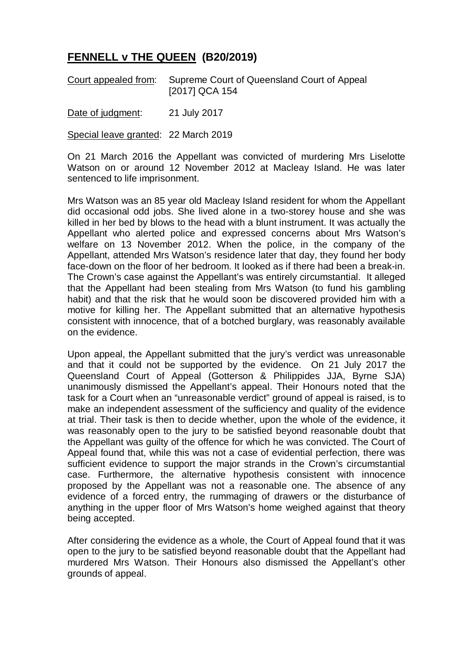## **FENNELL v THE QUEEN (B20/2019)**

Court appealed from: Supreme Court of Queensland Court of Appeal [2017] QCA 154

Date of judgment: 21 July 2017

Special leave granted: 22 March 2019

On 21 March 2016 the Appellant was convicted of murdering Mrs Liselotte Watson on or around 12 November 2012 at Macleay Island. He was later sentenced to life imprisonment.

Mrs Watson was an 85 year old Macleay Island resident for whom the Appellant did occasional odd jobs. She lived alone in a two-storey house and she was killed in her bed by blows to the head with a blunt instrument. It was actually the Appellant who alerted police and expressed concerns about Mrs Watson's welfare on 13 November 2012. When the police, in the company of the Appellant, attended Mrs Watson's residence later that day, they found her body face-down on the floor of her bedroom. It looked as if there had been a break-in. The Crown's case against the Appellant's was entirely circumstantial. It alleged that the Appellant had been stealing from Mrs Watson (to fund his gambling habit) and that the risk that he would soon be discovered provided him with a motive for killing her. The Appellant submitted that an alternative hypothesis consistent with innocence, that of a botched burglary, was reasonably available on the evidence.

Upon appeal, the Appellant submitted that the jury's verdict was unreasonable and that it could not be supported by the evidence. On 21 July 2017 the Queensland Court of Appeal (Gotterson & Philippides JJA, Byrne SJA) unanimously dismissed the Appellant's appeal. Their Honours noted that the task for a Court when an "unreasonable verdict" ground of appeal is raised, is to make an independent assessment of the sufficiency and quality of the evidence at trial. Their task is then to decide whether, upon the whole of the evidence, it was reasonably open to the jury to be satisfied beyond reasonable doubt that the Appellant was guilty of the offence for which he was convicted. The Court of Appeal found that, while this was not a case of evidential perfection, there was sufficient evidence to support the major strands in the Crown's circumstantial case. Furthermore, the alternative hypothesis consistent with innocence proposed by the Appellant was not a reasonable one. The absence of any evidence of a forced entry, the rummaging of drawers or the disturbance of anything in the upper floor of Mrs Watson's home weighed against that theory being accepted.

After considering the evidence as a whole, the Court of Appeal found that it was open to the jury to be satisfied beyond reasonable doubt that the Appellant had murdered Mrs Watson. Their Honours also dismissed the Appellant's other grounds of appeal.